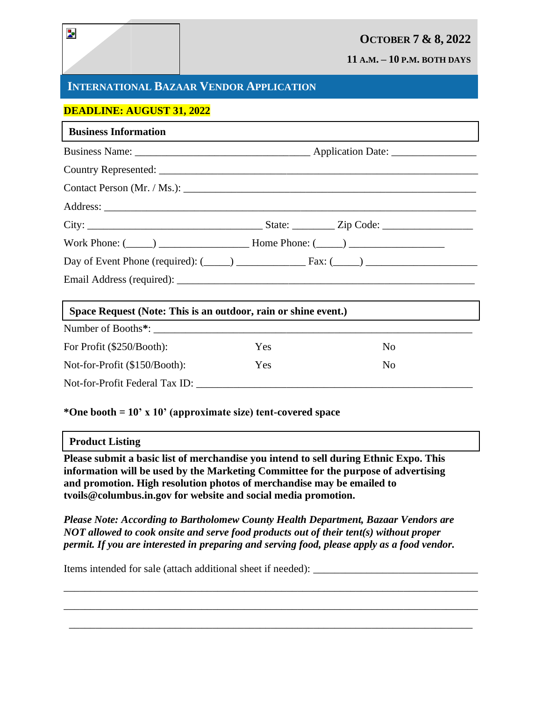# **OCTOBER 7 & 8, 2022**

**11 A.M. – 10 P.M. BOTH DAYS**

# **INTERNATIONAL BAZAAR VENDOR APPLICATION**

### **DEADLINE: AUGUST 31, 2022**

| <b>Business Information</b>                                         |     |                |  |
|---------------------------------------------------------------------|-----|----------------|--|
|                                                                     |     |                |  |
|                                                                     |     |                |  |
|                                                                     |     |                |  |
|                                                                     |     |                |  |
|                                                                     |     |                |  |
| Work Phone: $(\_\_\_\_)$ $\_\_\_\_\_\_\_\$ Home Phone: $(\_\_\_\_)$ |     |                |  |
|                                                                     |     |                |  |
|                                                                     |     |                |  |
| Space Request (Note: This is an outdoor, rain or shine event.)      |     |                |  |
|                                                                     |     |                |  |
| For Profit (\$250/Booth):                                           | Yes | N <sub>0</sub> |  |
| Not-for-Profit (\$150/Booth):                                       | Yes | N <sub>0</sub> |  |
| Not-for-Profit Federal Tax ID:                                      |     |                |  |

**\*One booth = 10' x 10' (approximate size) tent-covered space** 

#### **Product Listing**

**Please submit a basic list of merchandise you intend to sell during Ethnic Expo. This information will be used by the Marketing Committee for the purpose of advertising and promotion. High resolution photos of merchandise may be emailed to tvoils@columbus.in.gov for website and social media promotion.** 

*Please Note: According to Bartholomew County Health Department, Bazaar Vendors are NOT allowed to cook onsite and serve food products out of their tent(s) without proper permit. If you are interested in preparing and serving food, please apply as a food vendor.*

\_\_\_\_\_\_\_\_\_\_\_\_\_\_\_\_\_\_\_\_\_\_\_\_\_\_\_\_\_\_\_\_\_\_\_\_\_\_\_\_\_\_\_\_\_\_\_\_\_\_\_\_\_\_\_\_\_\_\_\_\_\_\_\_\_\_\_\_\_\_\_\_\_\_\_\_\_\_

\_\_\_\_\_\_\_\_\_\_\_\_\_\_\_\_\_\_\_\_\_\_\_\_\_\_\_\_\_\_\_\_\_\_\_\_\_\_\_\_\_\_\_\_\_\_\_\_\_\_\_\_\_\_\_\_\_\_\_\_\_\_\_\_\_\_\_\_\_\_\_\_\_\_\_\_\_\_

\_\_\_\_\_\_\_\_\_\_\_\_\_\_\_\_\_\_\_\_\_\_\_\_\_\_\_\_\_\_\_\_\_\_\_\_\_\_\_\_\_\_\_\_\_\_\_\_\_\_\_\_\_\_\_\_\_\_\_\_\_\_\_\_\_\_\_\_\_\_\_\_\_\_\_\_

Items intended for sale (attach additional sheet if needed): \_\_\_\_\_\_\_\_\_\_\_\_\_\_\_\_\_\_\_\_

 $\overline{\phantom{a}}$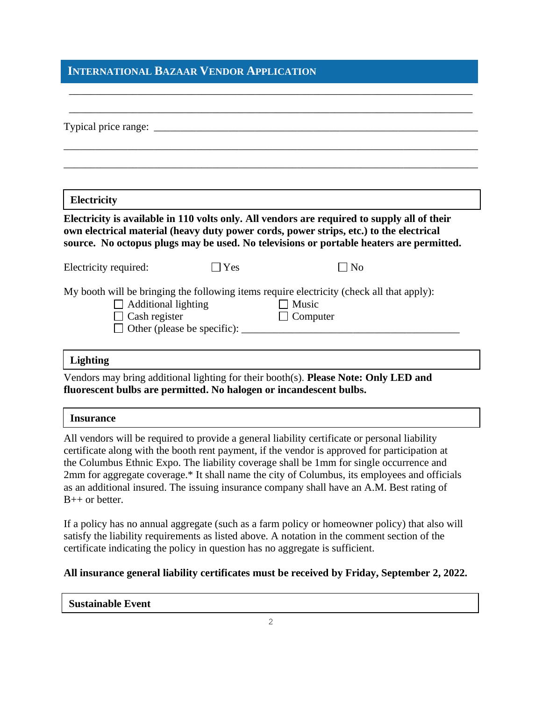## **INTERNATIONAL BAZAAR VENDOR APPLICATION**

| <b>Electricity</b>    |                     | Electricity is available in 110 volts only. All vendors are required to supply all of their                                                                                       |
|-----------------------|---------------------|-----------------------------------------------------------------------------------------------------------------------------------------------------------------------------------|
|                       |                     | own electrical material (heavy duty power cords, power strips, etc.) to the electrical<br>source. No octopus plugs may be used. No televisions or portable heaters are permitted. |
| Electricity required: | Yes                 | l No                                                                                                                                                                              |
|                       | Additional lighting | My booth will be bringing the following items require electricity (check all that apply):<br>$\Box$ Music<br>$\Box$ Computer                                                      |

\_\_\_\_\_\_\_\_\_\_\_\_\_\_\_\_\_\_\_\_\_\_\_\_\_\_\_\_\_\_\_\_\_\_\_\_\_\_\_\_\_\_\_\_\_\_\_\_\_\_\_\_\_\_\_\_\_\_\_\_\_\_\_\_\_\_\_\_\_\_\_\_\_\_\_\_

Vendors may bring additional lighting for their booth(s). **Please Note: Only LED and fluorescent bulbs are permitted. No halogen or incandescent bulbs.**

#### **Insurance**

All vendors will be required to provide a general liability certificate or personal liability certificate along with the booth rent payment, if the vendor is approved for participation at the Columbus Ethnic Expo. The liability coverage shall be 1mm for single occurrence and 2mm for aggregate coverage.\* It shall name the city of Columbus, its employees and officials as an additional insured. The issuing insurance company shall have an A.M. Best rating of B++ or better.

If a policy has no annual aggregate (such as a farm policy or homeowner policy) that also will satisfy the liability requirements as listed above. A notation in the comment section of the certificate indicating the policy in question has no aggregate is sufficient.

### **All insurance general liability certificates must be received by Friday, September 2, 2022.**

**Sustainable Event**